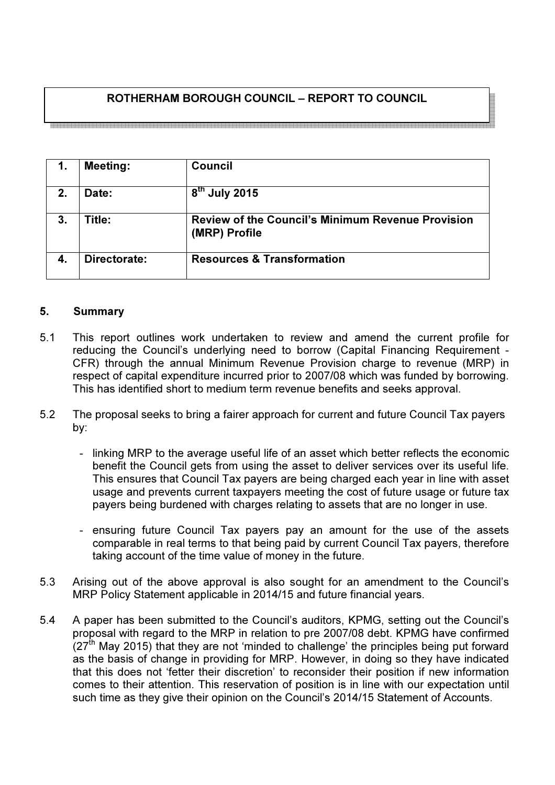# ROTHERHAM BOROUGH COUNCIL – REPORT TO COUNCIL

1. Meeting: Council 2.  $\Box$  Date:  $8<sup>th</sup>$  July 2015 3. Title: Review of the Council's Minimum Revenue Provision (MRP) Profile 4. Directorate: Resources & Transformation

## 5. Summary

- 5.1 This report outlines work undertaken to review and amend the current profile for reducing the Council's underlying need to borrow (Capital Financing Requirement - CFR) through the annual Minimum Revenue Provision charge to revenue (MRP) in respect of capital expenditure incurred prior to 2007/08 which was funded by borrowing. This has identified short to medium term revenue benefits and seeks approval.
- 5.2 The proposal seeks to bring a fairer approach for current and future Council Tax payers by:
	- linking MRP to the average useful life of an asset which better reflects the economic benefit the Council gets from using the asset to deliver services over its useful life. This ensures that Council Tax payers are being charged each year in line with asset usage and prevents current taxpayers meeting the cost of future usage or future tax payers being burdened with charges relating to assets that are no longer in use.
	- ensuring future Council Tax payers pay an amount for the use of the assets comparable in real terms to that being paid by current Council Tax payers, therefore taking account of the time value of money in the future.
- 5.3 Arising out of the above approval is also sought for an amendment to the Council's MRP Policy Statement applicable in 2014/15 and future financial years.
- 5.4 A paper has been submitted to the Council's auditors, KPMG, setting out the Council's proposal with regard to the MRP in relation to pre 2007/08 debt. KPMG have confirmed  $(27<sup>th</sup>$  May 2015) that they are not 'minded to challenge' the principles being put forward as the basis of change in providing for MRP. However, in doing so they have indicated that this does not 'fetter their discretion' to reconsider their position if new information comes to their attention. This reservation of position is in line with our expectation until such time as they give their opinion on the Council's 2014/15 Statement of Accounts.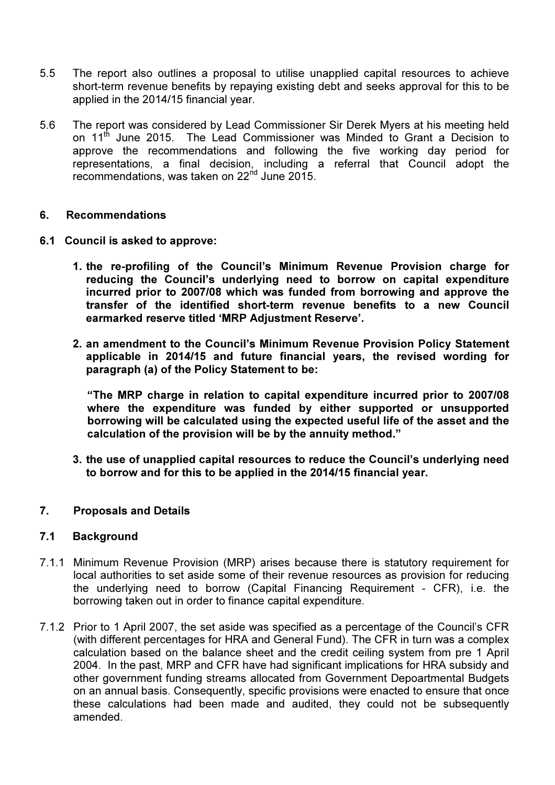- 5.5 The report also outlines a proposal to utilise unapplied capital resources to achieve short-term revenue benefits by repaying existing debt and seeks approval for this to be applied in the 2014/15 financial year.
- 5.6 The report was considered by Lead Commissioner Sir Derek Myers at his meeting held on 11<sup>th</sup> June 2015. The Lead Commissioner was Minded to Grant a Decision to approve the recommendations and following the five working day period for representations, a final decision, including a referral that Council adopt the recommendations, was taken on 22<sup>nd</sup> June 2015.

#### 6. Recommendations

- 6.1 Council is asked to approve:
	- 1. the re-profiling of the Council's Minimum Revenue Provision charge for reducing the Council's underlying need to borrow on capital expenditure incurred prior to 2007/08 which was funded from borrowing and approve the transfer of the identified short-term revenue benefits to a new Council earmarked reserve titled 'MRP Adjustment Reserve'.
	- 2. an amendment to the Council's Minimum Revenue Provision Policy Statement applicable in 2014/15 and future financial years, the revised wording for paragraph (a) of the Policy Statement to be:

"The MRP charge in relation to capital expenditure incurred prior to 2007/08 where the expenditure was funded by either supported or unsupported borrowing will be calculated using the expected useful life of the asset and the calculation of the provision will be by the annuity method."

3. the use of unapplied capital resources to reduce the Council's underlying need to borrow and for this to be applied in the 2014/15 financial year.

#### 7. Proposals and Details

#### 7.1 Background

- 7.1.1 Minimum Revenue Provision (MRP) arises because there is statutory requirement for local authorities to set aside some of their revenue resources as provision for reducing the underlying need to borrow (Capital Financing Requirement - CFR), i.e. the borrowing taken out in order to finance capital expenditure.
- 7.1.2 Prior to 1 April 2007, the set aside was specified as a percentage of the Council's CFR (with different percentages for HRA and General Fund). The CFR in turn was a complex calculation based on the balance sheet and the credit ceiling system from pre 1 April 2004. In the past, MRP and CFR have had significant implications for HRA subsidy and other government funding streams allocated from Government Depoartmental Budgets on an annual basis. Consequently, specific provisions were enacted to ensure that once these calculations had been made and audited, they could not be subsequently amended.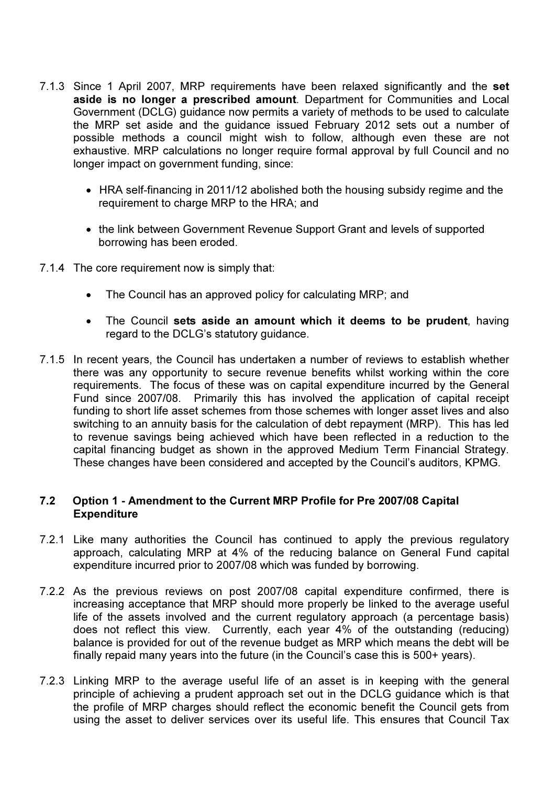- 7.1.3 Since 1 April 2007, MRP requirements have been relaxed significantly and the set aside is no longer a prescribed amount. Department for Communities and Local Government (DCLG) guidance now permits a variety of methods to be used to calculate the MRP set aside and the guidance issued February 2012 sets out a number of possible methods a council might wish to follow, although even these are not exhaustive. MRP calculations no longer require formal approval by full Council and no longer impact on government funding, since:
	- HRA self-financing in 2011/12 abolished both the housing subsidy regime and the requirement to charge MRP to the HRA; and
	- the link between Government Revenue Support Grant and levels of supported borrowing has been eroded.
- 7.1.4 The core requirement now is simply that:
	- The Council has an approved policy for calculating MRP; and
	- The Council sets aside an amount which it deems to be prudent, having regard to the DCLG's statutory guidance.
- 7.1.5 In recent years, the Council has undertaken a number of reviews to establish whether there was any opportunity to secure revenue benefits whilst working within the core requirements. The focus of these was on capital expenditure incurred by the General Fund since 2007/08. Primarily this has involved the application of capital receipt funding to short life asset schemes from those schemes with longer asset lives and also switching to an annuity basis for the calculation of debt repayment (MRP). This has led to revenue savings being achieved which have been reflected in a reduction to the capital financing budget as shown in the approved Medium Term Financial Strategy. These changes have been considered and accepted by the Council's auditors, KPMG.

### 7.2 Option 1 - Amendment to the Current MRP Profile for Pre 2007/08 Capital Expenditure

- 7.2.1 Like many authorities the Council has continued to apply the previous regulatory approach, calculating MRP at 4% of the reducing balance on General Fund capital expenditure incurred prior to 2007/08 which was funded by borrowing.
- 7.2.2 As the previous reviews on post 2007/08 capital expenditure confirmed, there is increasing acceptance that MRP should more properly be linked to the average useful life of the assets involved and the current regulatory approach (a percentage basis) does not reflect this view. Currently, each year 4% of the outstanding (reducing) balance is provided for out of the revenue budget as MRP which means the debt will be finally repaid many years into the future (in the Council's case this is 500+ years).
- 7.2.3 Linking MRP to the average useful life of an asset is in keeping with the general principle of achieving a prudent approach set out in the DCLG guidance which is that the profile of MRP charges should reflect the economic benefit the Council gets from using the asset to deliver services over its useful life. This ensures that Council Tax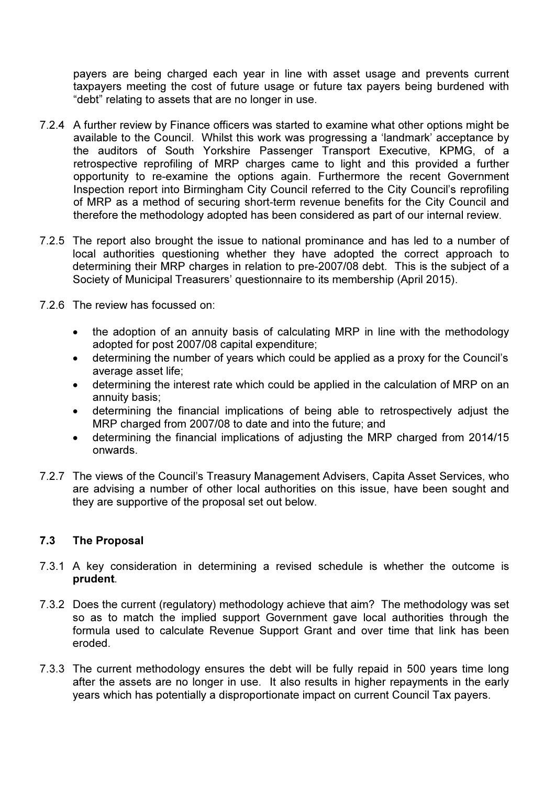payers are being charged each year in line with asset usage and prevents current taxpayers meeting the cost of future usage or future tax payers being burdened with "debt" relating to assets that are no longer in use.

- 7.2.4 A further review by Finance officers was started to examine what other options might be available to the Council. Whilst this work was progressing a 'landmark' acceptance by the auditors of South Yorkshire Passenger Transport Executive, KPMG, of a retrospective reprofiling of MRP charges came to light and this provided a further opportunity to re-examine the options again. Furthermore the recent Government Inspection report into Birmingham City Council referred to the City Council's reprofiling of MRP as a method of securing short-term revenue benefits for the City Council and therefore the methodology adopted has been considered as part of our internal review.
- 7.2.5 The report also brought the issue to national prominance and has led to a number of local authorities questioning whether they have adopted the correct approach to determining their MRP charges in relation to pre-2007/08 debt. This is the subject of a Society of Municipal Treasurers' questionnaire to its membership (April 2015).
- 7.2.6 The review has focussed on:
	- the adoption of an annuity basis of calculating MRP in line with the methodology adopted for post 2007/08 capital expenditure;
	- determining the number of years which could be applied as a proxy for the Council's average asset life;
	- determining the interest rate which could be applied in the calculation of MRP on an annuity basis;
	- determining the financial implications of being able to retrospectively adjust the MRP charged from 2007/08 to date and into the future; and
	- determining the financial implications of adjusting the MRP charged from 2014/15 onwards.
- 7.2.7 The views of the Council's Treasury Management Advisers, Capita Asset Services, who are advising a number of other local authorities on this issue, have been sought and they are supportive of the proposal set out below.

## 7.3 The Proposal

- 7.3.1 A key consideration in determining a revised schedule is whether the outcome is prudent.
- 7.3.2 Does the current (regulatory) methodology achieve that aim? The methodology was set so as to match the implied support Government gave local authorities through the formula used to calculate Revenue Support Grant and over time that link has been eroded.
- 7.3.3 The current methodology ensures the debt will be fully repaid in 500 years time long after the assets are no longer in use. It also results in higher repayments in the early years which has potentially a disproportionate impact on current Council Tax payers.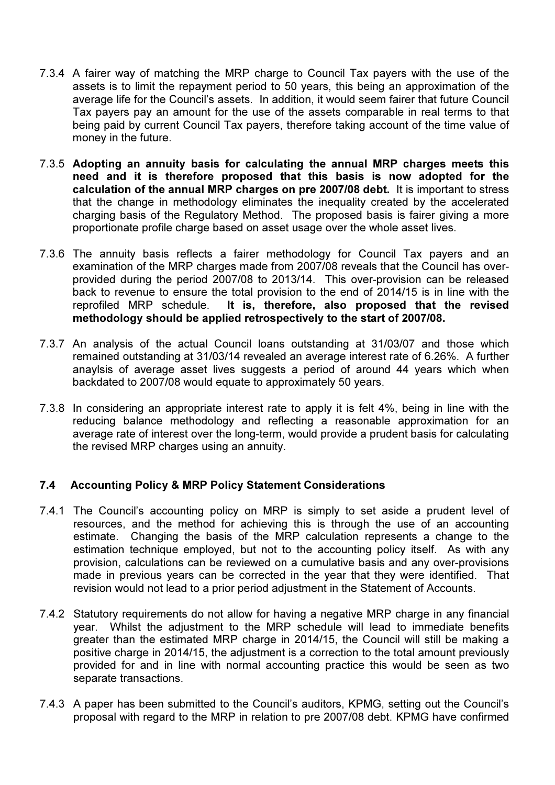- 7.3.4 A fairer way of matching the MRP charge to Council Tax payers with the use of the assets is to limit the repayment period to 50 years, this being an approximation of the average life for the Council's assets. In addition, it would seem fairer that future Council Tax payers pay an amount for the use of the assets comparable in real terms to that being paid by current Council Tax payers, therefore taking account of the time value of money in the future.
- 7.3.5 Adopting an annuity basis for calculating the annual MRP charges meets this need and it is therefore proposed that this basis is now adopted for the calculation of the annual MRP charges on pre 2007/08 debt. It is important to stress that the change in methodology eliminates the inequality created by the accelerated charging basis of the Regulatory Method. The proposed basis is fairer giving a more proportionate profile charge based on asset usage over the whole asset lives.
- 7.3.6 The annuity basis reflects a fairer methodology for Council Tax payers and an examination of the MRP charges made from 2007/08 reveals that the Council has overprovided during the period 2007/08 to 2013/14. This over-provision can be released back to revenue to ensure the total provision to the end of 2014/15 is in line with the reprofiled MRP schedule. It is, therefore, also proposed that the revised methodology should be applied retrospectively to the start of 2007/08.
- 7.3.7 An analysis of the actual Council loans outstanding at 31/03/07 and those which remained outstanding at 31/03/14 revealed an average interest rate of 6.26%. A further anaylsis of average asset lives suggests a period of around 44 years which when backdated to 2007/08 would equate to approximately 50 years.
- 7.3.8 In considering an appropriate interest rate to apply it is felt 4%, being in line with the reducing balance methodology and reflecting a reasonable approximation for an average rate of interest over the long-term, would provide a prudent basis for calculating the revised MRP charges using an annuity.

## 7.4 Accounting Policy & MRP Policy Statement Considerations

- 7.4.1 The Council's accounting policy on MRP is simply to set aside a prudent level of resources, and the method for achieving this is through the use of an accounting estimate. Changing the basis of the MRP calculation represents a change to the estimation technique employed, but not to the accounting policy itself. As with any provision, calculations can be reviewed on a cumulative basis and any over-provisions made in previous years can be corrected in the year that they were identified. That revision would not lead to a prior period adjustment in the Statement of Accounts.
- 7.4.2 Statutory requirements do not allow for having a negative MRP charge in any financial year. Whilst the adjustment to the MRP schedule will lead to immediate benefits greater than the estimated MRP charge in 2014/15, the Council will still be making a positive charge in 2014/15, the adjustment is a correction to the total amount previously provided for and in line with normal accounting practice this would be seen as two separate transactions.
- 7.4.3 A paper has been submitted to the Council's auditors, KPMG, setting out the Council's proposal with regard to the MRP in relation to pre 2007/08 debt. KPMG have confirmed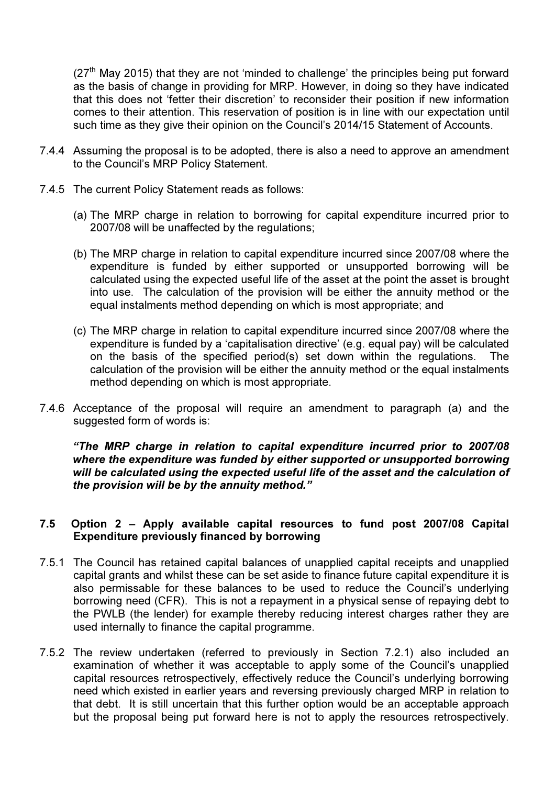$(27<sup>th</sup>$  May 2015) that they are not 'minded to challenge' the principles being put forward as the basis of change in providing for MRP. However, in doing so they have indicated that this does not 'fetter their discretion' to reconsider their position if new information comes to their attention. This reservation of position is in line with our expectation until such time as they give their opinion on the Council's 2014/15 Statement of Accounts.

- 7.4.4 Assuming the proposal is to be adopted, there is also a need to approve an amendment to the Council's MRP Policy Statement.
- 7.4.5 The current Policy Statement reads as follows:
	- (a) The MRP charge in relation to borrowing for capital expenditure incurred prior to 2007/08 will be unaffected by the regulations;
	- (b) The MRP charge in relation to capital expenditure incurred since 2007/08 where the expenditure is funded by either supported or unsupported borrowing will be calculated using the expected useful life of the asset at the point the asset is brought into use. The calculation of the provision will be either the annuity method or the equal instalments method depending on which is most appropriate; and
	- (c) The MRP charge in relation to capital expenditure incurred since 2007/08 where the expenditure is funded by a 'capitalisation directive' (e.g. equal pay) will be calculated on the basis of the specified period(s) set down within the regulations. The calculation of the provision will be either the annuity method or the equal instalments method depending on which is most appropriate.
- 7.4.6 Acceptance of the proposal will require an amendment to paragraph (a) and the suggested form of words is:

"The MRP charge in relation to capital expenditure incurred prior to 2007/08 where the expenditure was funded by either supported or unsupported borrowing will be calculated using the expected useful life of the asset and the calculation of the provision will be by the annuity method."

### 7.5 Option 2 – Apply available capital resources to fund post 2007/08 Capital Expenditure previously financed by borrowing

- 7.5.1 The Council has retained capital balances of unapplied capital receipts and unapplied capital grants and whilst these can be set aside to finance future capital expenditure it is also permissable for these balances to be used to reduce the Council's underlying borrowing need (CFR). This is not a repayment in a physical sense of repaying debt to the PWLB (the lender) for example thereby reducing interest charges rather they are used internally to finance the capital programme.
- 7.5.2 The review undertaken (referred to previously in Section 7.2.1) also included an examination of whether it was acceptable to apply some of the Council's unapplied capital resources retrospectively, effectively reduce the Council's underlying borrowing need which existed in earlier years and reversing previously charged MRP in relation to that debt. It is still uncertain that this further option would be an acceptable approach but the proposal being put forward here is not to apply the resources retrospectively.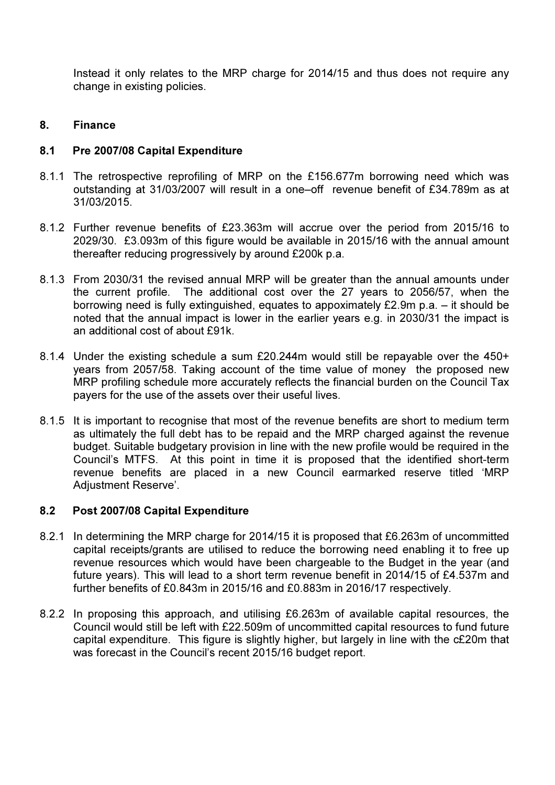Instead it only relates to the MRP charge for 2014/15 and thus does not require any change in existing policies.

### 8. Finance

### 8.1 Pre 2007/08 Capital Expenditure

- 8.1.1 The retrospective reprofiling of MRP on the £156.677m borrowing need which was outstanding at 31/03/2007 will result in a one–off revenue benefit of £34.789m as at 31/03/2015.
- 8.1.2 Further revenue benefits of £23.363m will accrue over the period from 2015/16 to 2029/30. £3.093m of this figure would be available in 2015/16 with the annual amount thereafter reducing progressively by around £200k p.a.
- 8.1.3 From 2030/31 the revised annual MRP will be greater than the annual amounts under the current profile. The additional cost over the 27 years to 2056/57, when the borrowing need is fully extinguished, equates to appoximately £2.9m p.a. – it should be noted that the annual impact is lower in the earlier years e.g. in 2030/31 the impact is an additional cost of about £91k.
- 8.1.4 Under the existing schedule a sum £20.244m would still be repayable over the 450+ years from 2057/58. Taking account of the time value of money the proposed new MRP profiling schedule more accurately reflects the financial burden on the Council Tax payers for the use of the assets over their useful lives.
- 8.1.5 It is important to recognise that most of the revenue benefits are short to medium term as ultimately the full debt has to be repaid and the MRP charged against the revenue budget. Suitable budgetary provision in line with the new profile would be required in the Council's MTFS. At this point in time it is proposed that the identified short-term revenue benefits are placed in a new Council earmarked reserve titled 'MRP Adiustment Reserve'.

### 8.2 Post 2007/08 Capital Expenditure

- 8.2.1 In determining the MRP charge for 2014/15 it is proposed that £6.263m of uncommitted capital receipts/grants are utilised to reduce the borrowing need enabling it to free up revenue resources which would have been chargeable to the Budget in the year (and future years). This will lead to a short term revenue benefit in 2014/15 of £4.537m and further benefits of £0.843m in 2015/16 and £0.883m in 2016/17 respectively.
- 8.2.2 In proposing this approach, and utilising £6.263m of available capital resources, the Council would still be left with £22.509m of uncommitted capital resources to fund future capital expenditure. This figure is slightly higher, but largely in line with the c£20m that was forecast in the Council's recent 2015/16 budget report.